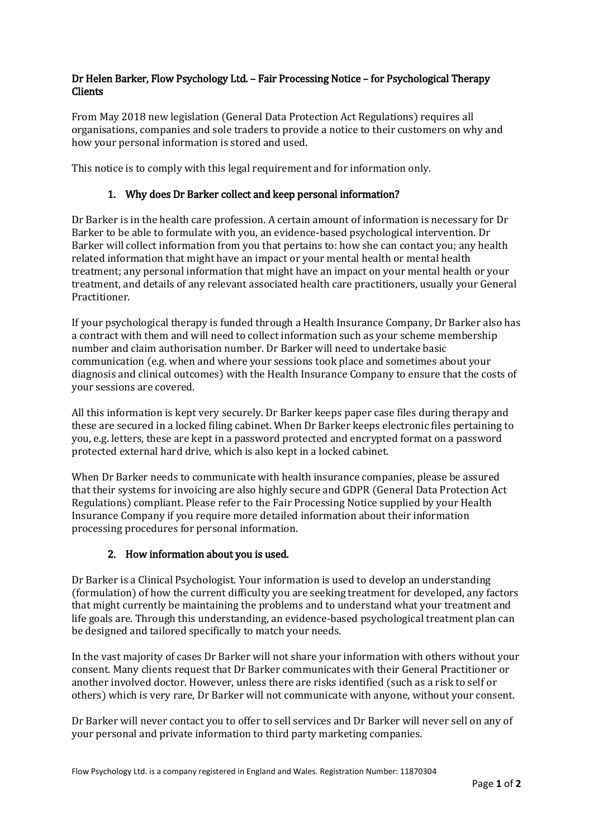## Dr Helen Barker, Flow Psychology Ltd. – Fair Processing Notice – for Psychological Therapy **Clients**

From May 2018 new legislation (General Data Protection Act Regulations) requires all organisations, companies and sole traders to provide a notice to their customers on why and how your personal information is stored and used.

This notice is to comply with this legal requirement and for information only.

### 1. Why does Dr Barker collect and keep personal information?

Dr Barker is in the health care profession. A certain amount of information is necessary for Dr Barker to be able to formulate with you, an evidence-based psychological intervention. Dr Barker will collect information from you that pertains to: how she can contact you; any health related information that might have an impact or your mental health or mental health treatment; any personal information that might have an impact on your mental health or your treatment, and details of any relevant associated health care practitioners, usually your General Practitioner.

If your psychological therapy is funded through a Health Insurance Company, Dr Barker also has a contract with them and will need to collect information such as your scheme membership number and claim authorisation number. Dr Barker will need to undertake basic communication (e.g. when and where your sessions took place and sometimes about your diagnosis and clinical outcomes) with the Health Insurance Company to ensure that the costs of your sessions are covered.

All this information is kept very securely. Dr Barker keeps paper case files during therapy and these are secured in a locked filing cabinet. When Dr Barker keeps electronic files pertaining to you, e.g. letters, these are kept in a password protected and encrypted format on a password protected external hard drive, which is also kept in a locked cabinet.

When Dr Barker needs to communicate with health insurance companies, please be assured that their systems for invoicing are also highly secure and GDPR (General Data Protection Act Regulations) compliant. Please refer to the Fair Processing Notice supplied by your Health Insurance Company if you require more detailed information about their information processing procedures for personal information.

## 2. How information about you is used.

Dr Barker is a Clinical Psychologist. Your information is used to develop an understanding (formulation) of how the current difficulty you are seeking treatment for developed, any factors that might currently be maintaining the problems and to understand what your treatment and life goals are. Through this understanding, an evidence-based psychological treatment plan can be designed and tailored specifically to match your needs.

In the vast majority of cases Dr Barker will not share your information with others without your consent. Many clients request that Dr Barker communicates with their General Practitioner or another involved doctor. However, unless there are risks identified (such as a risk to self or others) which is very rare, Dr Barker will not communicate with anyone, without your consent.

Dr Barker will never contact you to offer to sell services and Dr Barker will never sell on any of your personal and private information to third party marketing companies.